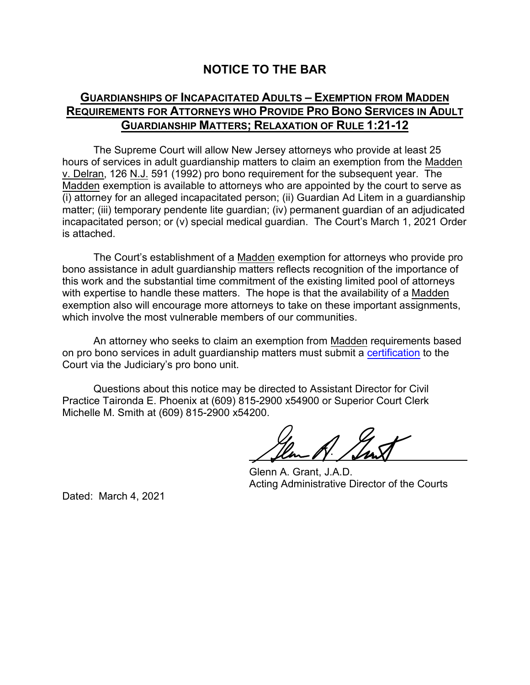## **NOTICE TO THE BAR**

## **GUARDIANSHIPS OF INCAPACITATED ADULTS – EXEMPTION FROM MADDEN REQUIREMENTS FOR ATTORNEYS WHO PROVIDE PRO BONO SERVICES IN ADULT GUARDIANSHIP MATTERS; RELAXATION OF RULE 1:21-12**

The Supreme Court will allow New Jersey attorneys who provide at least 25 hours of services in adult guardianship matters to claim an exemption from the Madden v. Delran, 126 N.J. 591 (1992) pro bono requirement for the subsequent year. The Madden exemption is available to attorneys who are appointed by the court to serve as (i) attorney for an alleged incapacitated person; (ii) Guardian Ad Litem in a guardianship matter; (iii) temporary pendente lite guardian; (iv) permanent guardian of an adjudicated incapacitated person; or (v) special medical guardian. The Court's March 1, 2021 Order is attached.

The Court's establishment of a Madden exemption for attorneys who provide pro bono assistance in adult guardianship matters reflects recognition of the importance of this work and the substantial time commitment of the existing limited pool of attorneys with expertise to handle these matters. The hope is that the availability of a Madden exemption also will encourage more attorneys to take on these important assignments, which involve the most vulnerable members of our communities.

An attorney who seeks to claim an exemption from Madden requirements based on pro bono services in adult guardianship matters must submit a [certification](https://www.njcourts.gov/attorneys/probono.html) to the Court via the Judiciary's pro bono unit.

Questions about this notice may be directed to Assistant Director for Civil Practice Taironda E. Phoenix at (609) 815-2900 x54900 or Superior Court Clerk Michelle M. Smith at (609) 815-2900 x54200.

Glenn A. Grant, J.A.D. Acting Administrative Director of the Courts

Dated: March 4, 2021